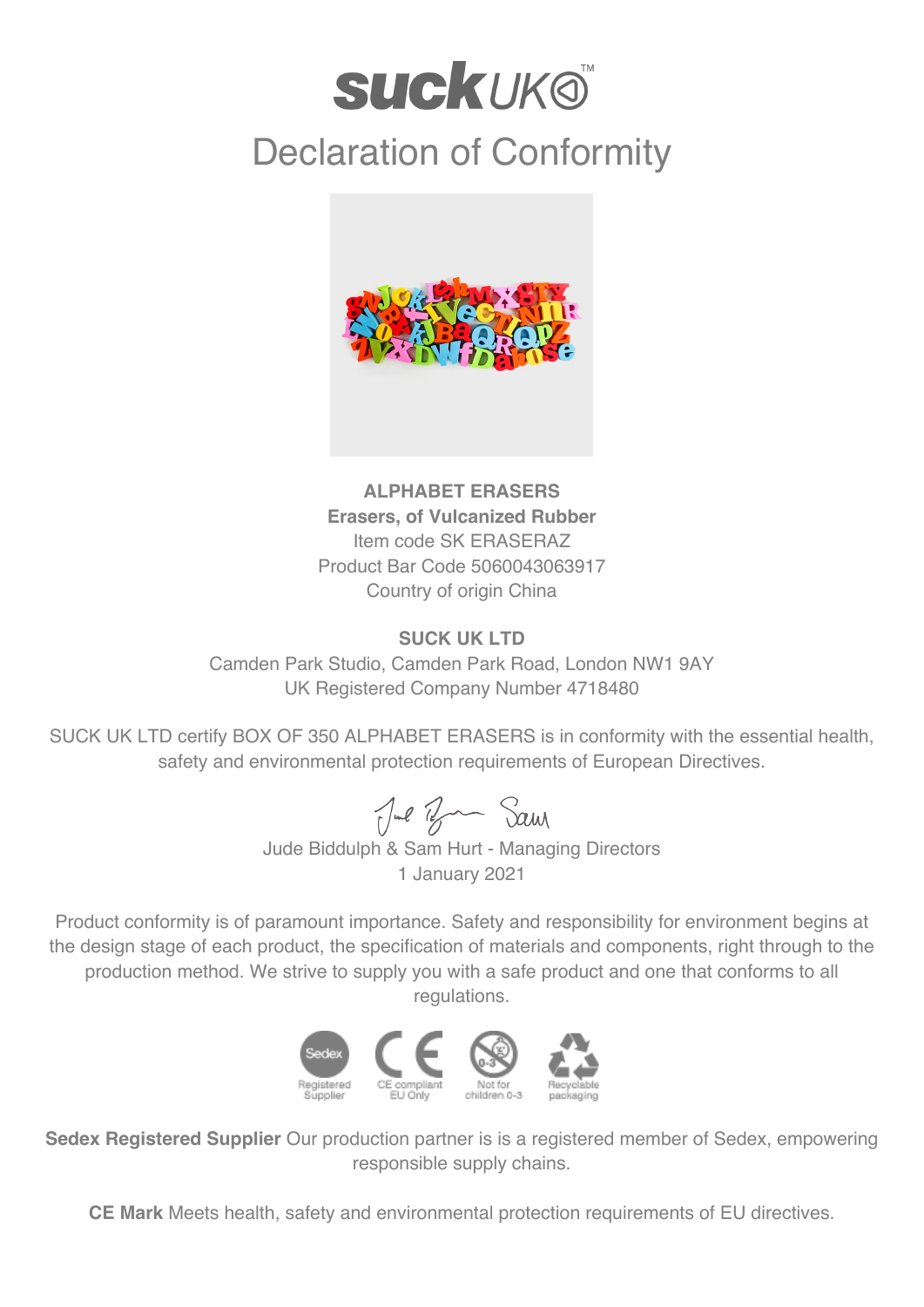## **SUCKUKO** Declaration of Conformity



**ALPHABET ERASERS Erasers, of Vulcanized Rubber** Item code SK ERASERAZ Product Bar Code 5060043063917 Country of origin China

## **SUCK UK LTD**

Camden Park Studio, Camden Park Road, London NW1 9AY UK Registered Company Number 4718480

SUCK UK LTD certify BOX OF 350 ALPHABET ERASERS is in conformity with the essential health, safety and environmental protection requirements of European Directives.

Jul Ban Sam

Jude Biddulph & Sam Hurt - Managing Directors 1 January 2021

Product conformity is of paramount importance. Safety and responsibility for environment begins at the design stage of each product, the specification of materials and components, right through to the production method. We strive to supply you with a safe product and one that conforms to all regulations.



**Sedex Registered Supplier** Our production partner is is a registered member of Sedex, empowering responsible supply chains.

**CE Mark** Meets health, safety and environmental protection requirements of EU directives.